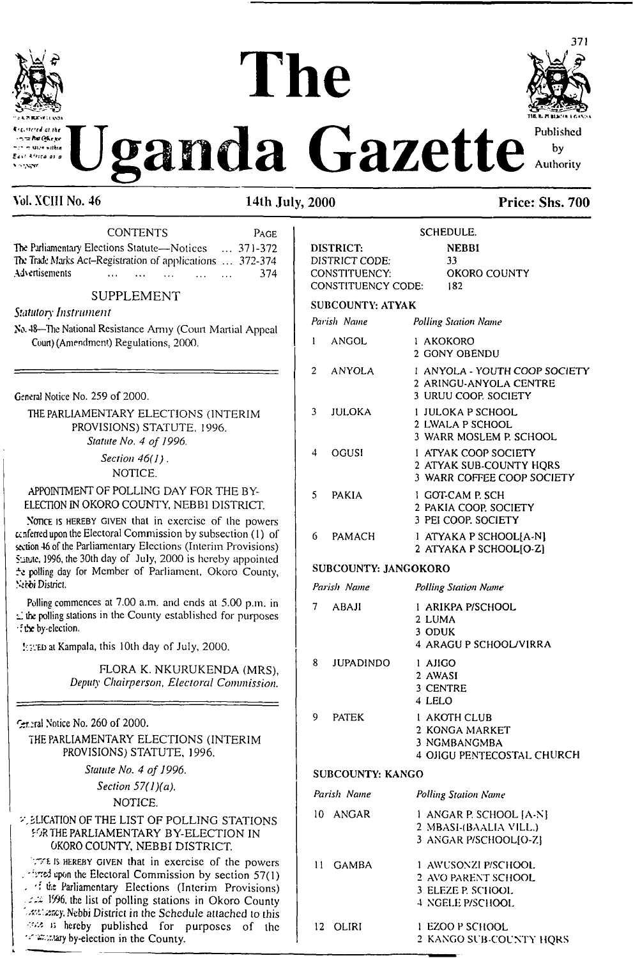

ديان وبرالي n ta Ru Okeav **MIZE WITHIN** .<br>Fait kitten av i  $\sim$ 

# $\mathbf{The}$ anda Gazette



### Vol. XCIII No. 46 14th July, 2000 Price: Shs. 700

| Advertisements                                                                                                             | CONTENTS<br>PAGE<br>The Parliamentary Elections Statute-Notices  371-372<br>The Trade Marks Act-Registration of applications  372-374<br>374                                                                                                                                                                     |  |
|----------------------------------------------------------------------------------------------------------------------------|------------------------------------------------------------------------------------------------------------------------------------------------------------------------------------------------------------------------------------------------------------------------------------------------------------------|--|
|                                                                                                                            |                                                                                                                                                                                                                                                                                                                  |  |
| <b>SUPPLEMENT</b>                                                                                                          |                                                                                                                                                                                                                                                                                                                  |  |
| Statutory Instrument<br>No. 48-The National Resistance Army (Court Martial Appeal<br>Court) (Amendment) Regulations, 2000. |                                                                                                                                                                                                                                                                                                                  |  |
| General Notice No. 259 of 2000.                                                                                            |                                                                                                                                                                                                                                                                                                                  |  |
|                                                                                                                            | THE PARLIAMENTARY ELECTIONS (INTERIM<br>PROVISIONS) STATUTE, 1996.<br>Statute No. 4 of 1996.                                                                                                                                                                                                                     |  |
|                                                                                                                            | Section $46(1)$ .<br>NOTICE.                                                                                                                                                                                                                                                                                     |  |
|                                                                                                                            | APPOINTMENT OF POLLING DAY FOR THE BY-<br>ELECTION IN OKORO COUNTY, NEBBI DISTRICT.                                                                                                                                                                                                                              |  |
| Serbi District.                                                                                                            | NOTICE IS HEREBY GIVEN that in exercise of the powers<br>cenferred upon the Electoral Commission by subsection (1) of<br>section 46 of the Parliamentary Elections (Interim Provisions)<br>Sunte, 1996, the 30th day of July, 2000 is hereby appointed<br>te polling day for Member of Parliament, Okoro County, |  |
| f the by-election.                                                                                                         | Polling commences at 7.00 a.m. and ends at 5.00 p.m. in<br>$\leq$ the polling stations in the County established for purposes                                                                                                                                                                                    |  |
|                                                                                                                            | <b>EXED</b> at Kampala, this 10th day of July, 2000.                                                                                                                                                                                                                                                             |  |
|                                                                                                                            | FLORA K. NKURUKENDA (MRS),<br>Deputy Chairperson, Electoral Commission.                                                                                                                                                                                                                                          |  |
| $\epsilon$ -ral Notice No. 260 of 2000.                                                                                    |                                                                                                                                                                                                                                                                                                                  |  |
|                                                                                                                            | THE PARLIAMENTARY ELECTIONS (INTERIM<br>PROVISIONS) STATUTE, 1996.                                                                                                                                                                                                                                               |  |
|                                                                                                                            | Statute No. 4 of 1996.                                                                                                                                                                                                                                                                                           |  |
|                                                                                                                            | Section $57(1)(a)$ .                                                                                                                                                                                                                                                                                             |  |
|                                                                                                                            | NOTICE.                                                                                                                                                                                                                                                                                                          |  |
|                                                                                                                            | <b>ZUCATION OF THE LIST OF POLLING STATIONS</b><br>FOR THE PARLIAMENTARY BY-ELECTION IN<br><b>OKORO COUNTY, NEBBI DISTRICT.</b>                                                                                                                                                                                  |  |
|                                                                                                                            | THE IS HEREBY GIVEN that in exercise of the powers<br>. first upon the Electoral Commission by section 57(1)<br>. If the Parliamentary Elections (Interim Provisions)<br>1996, the list of polling stations in Okoro County                                                                                      |  |

Lettlestey, Nebbi District in the Schedule attached to this <sup>b</sup> hereby published for purposes of the

•K'.'j.iary by-election in the County.

#### **SCHEDULE. DISTRICT: NEBBI DISTRICT CODE: CONSTITUENCY: CONSTITUENCY CODE: SUBCOUNTY: ATYAK 33 OKORO COUNTY 182** *Parish Name Polling Station Name* **<sup>1</sup> ANGOL 2 ANYOLA 3 JULOKA 4 OGUSI 5 PAKIA 6 PAMACH <sup>1</sup> AKOKORO 2 GONY OBENDU** <sup>1</sup> **ANYOLA - YOUTH COOP SOCIETY 2 ARINGU-ANYOLA CENTRE 3 URUU COOP. SOCIETY <sup>1</sup> JULOKA P SCHOOL 2 LWALA P SCHOOL 3 WARR MOSLEM P. SCHOOL <sup>1</sup> ATYAK COOP SOCIETY 2 ATYAK SUB-COUNTY HQRS 3 WARR COFFEE COOP SOCIETY <sup>1</sup> GOT-CAM P. SCH 2 PAKIA COOP. SOCIETY 3 PEI COOP. SOCIETY <sup>1</sup> ATYAKA P SCHOOL[A-N] 2 ATYAKA P SCHOOL[O-Z] SUBCOUNTY: JANGOKORO** *Parish Name Polling Station Name* **7 ABAJ1 <sup>1</sup> ARIKPA P/SCHOOL 2 LUMA 3 ODUK 4 ARAGU P SCHOOL/V1RRA 8 JUPADINDO 9 PATEK <sup>1</sup> AJIGO 2 AWASI 3 CENTRE 4 LELO <sup>1</sup> AKOTH CLUB 2 KONGA MARKET 3 NGMBANGMBA 4 OJIGU PENTECOSTAL CHURCH SUBCOUNTY: KANGO** *Parish Name* **10 ANGAR** *Polling Station Name* **<sup>1</sup> ANGAR P. SCHOOL [A-N] 2 MBASI-fBAALlA VILL.)**

|          | 3 ANGAR P/SCHOOLIO-ZI   |
|----------|-------------------------|
| 11 GAMBA | 1 AWUSONZI P/SCHOOL     |
|          | 2 AVO PARENT SCHOOL     |
|          | 3 ELEZE P. SCHOOL       |
|          | 4 NGELE P/SCHOOL        |
| 12 OLIRI | 1 EZOO P SCHOOL         |
|          | 2 KANGO SUB-COUNTY HORS |
|          |                         |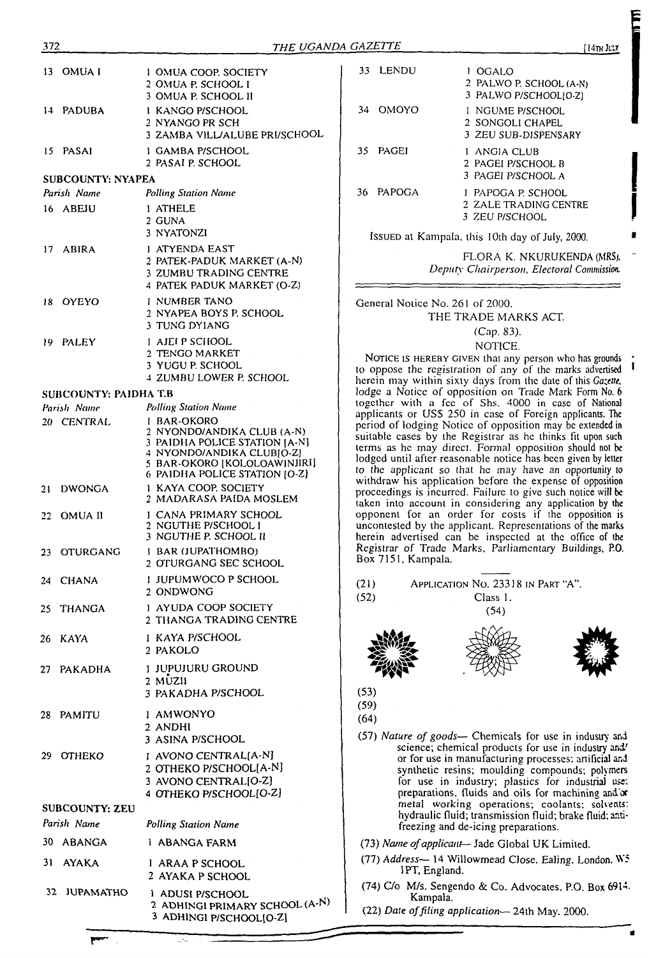| 13 OMUAI                     | 1 OMUA COOP, SOCIETY<br>2 OMUA P. SCHOOL I                                                                                                                               |
|------------------------------|--------------------------------------------------------------------------------------------------------------------------------------------------------------------------|
| 14 PADUBA                    | 3 OMUA P. SCHOOL II<br>1 KANGO P/SCHOOL<br>2 NYANGO PR SCH                                                                                                               |
|                              | 3 ZAMBA VILL/ALUBE PRI/SCHOOL                                                                                                                                            |
| 15 PASAI                     | 1 GAMBA P/SCHOOL<br>2 PASAI P. SCHOOL                                                                                                                                    |
| <b>SUBCOUNTY: NYAPEA</b>     |                                                                                                                                                                          |
| Parish Name                  | <b>Polling Station Name</b>                                                                                                                                              |
| 16 ABEJU                     | 1 ATHELE<br>2 GUNA<br>3 NYATONZI                                                                                                                                         |
| 17 ABIRA                     | 1 ATYENDA EAST<br>2 PATEK-PADUK MARKET (A-N)<br>3 ZUMBU TRADING CENTRE<br>4 PATEK PADUK MARKET (O-Z)                                                                     |
| 18 OYEYO                     | 1 NUMBER TANO<br>2 NYAPEA BOYS P. SCHOOL<br>3 TUNG DYIANG                                                                                                                |
| 19 PALEY                     | <b>I AJEIP SCHOOL</b><br>2 TENGO MARKET<br>3 YUGU P. SCHOOL<br>4 ZUMBU LOWER P. SCHOOL                                                                                   |
| <b>SUBCOUNTY: PAIDHA T.B</b> |                                                                                                                                                                          |
| Parish Name                  | <b>Polling Station Name</b>                                                                                                                                              |
| 20 CENTRAL                   | I BAR-OKORO<br>2 NYONDO/ANDIKA CLUB (A-N)<br>3 PAIDHA POLICE STATION [A-N]<br>4 NYONDO/ANDIKA CLUBIO-Z]<br>5 BAR-OKORO [KOLOLOAW]NJIRI]<br>6 PAIDHA POLICE STATION [O-Z] |
| 21 DWONGA                    | <b>1 KAYA COOP SOCIETY</b><br>2 MADARASA PAIDA MOSLEM                                                                                                                    |
| 22 OMUA II                   | 1 CANA PRIMARY SCHOOL<br>2 NGUTHE P/SCHOOL I<br>3 NGUTHE P. SCHOOL II                                                                                                    |
| 23 OTURGANG                  | I BAR (JUPATHOMBO)<br>2 OTURGANG SEC SCHOOL                                                                                                                              |
| 24 CHANA                     | <b>I JUPUMWOCO P SCHOOL</b><br>2 ONDWONG                                                                                                                                 |
| 25 THANGA                    | 1 AYUDA COOP SOCIETY<br>2 THANGA TRADING CENTRE                                                                                                                          |
| 26 KAYA                      | 1 KAYA P/SCHOOL<br>2 PAKOLO                                                                                                                                              |
| 27 PAKADHA                   | <b>J JUPUJURU GROUND</b><br>$2$ MUZII<br>3 PAKADHA P/SCHOOL                                                                                                              |
| 28 PAMITU                    | 1 AMWONYO<br>2 ANDHI<br>3 ASINA P/SCHOOL                                                                                                                                 |
| 29 OTHEKO                    | I AVONO CENTRAL[A-N]<br>2 OTHEKO P/SCHOOL[A-N]<br>3 AVONO CENTRAL[O-Z]<br>4 OTHEKO P/SCHOOL[O-Z]                                                                         |
| <b>SUBCOUNTY: ZEU</b>        |                                                                                                                                                                          |
| Parish Name                  | Polling Station Name                                                                                                                                                     |
| 30 ABANGA                    | 1 ABANGA FARM                                                                                                                                                            |
| 31 AYAKA                     | 1 ARAA P SCHOOL<br>2 AYAKA P SCHOOL                                                                                                                                      |
| 32 JUPAMATHO                 | 1 ADUSI P/SCHOOL<br>2 ADHINGI PRIMARY SCHOOL (A-N)<br>3 ADHINGI P/SCHOOL[O-Z]                                                                                            |

|     | 33 LENDU | OGALO<br>2 PALWO P. SCHOOL (A-N)<br>3 PALWO P/SCHOOL[0-2]    |
|-----|----------|--------------------------------------------------------------|
|     | 34 OMOYO | I NGUME P/SCHOOL<br>2 SONGOLI CHAPEL<br>3 ZEU SUB-DISPENSARY |
| 35. | PAGEI    | ANGIA CLUB<br>2 PAGEI P/SCHOOL B<br>3. PAGEI P/SCHOOL A      |
| 36  | PAPOGA   | PAPOGA P. SCHOOL<br>2 ZALE TRADING CENTRE<br>3. ZEU P/SCHOOL |

Issued at Kampala, this <sup>I</sup> Oth day of July, 2000.

FLORA K. NKURUKENDA (MRS/. *Deputy Chairperson, Electoral Commission.*

General Notice No. 261 of 2000. THE TRADE MARKS ACT

#### (Cap. 83). NOTICE.

NOTICE IS HEREBY GIVEN that any person who has grounds to oppose the registration of any of the marks advertised herein may within sixty days from the date of this *Gazette,* lodge a Notice of opposition on Trade Mark Form No. <sup>6</sup> together with a fee of Shs. 4000 in case of National applicants or USS 250 in case of Foreign applicants. The period of lodging Notice of opposition may be extended in suitable cases by the Registrar as he thinks fit upon such terms as he may direct. Fonna) opposition should not be lodged until after reasonable notice has been given by letter to the applicant so that he may have an opportunity to withdraw his application before the expense of opposition proceedings is incurred. Failure to give such notice will be taken into account in considering any application by the opponent for an order for costs if the opposition is uncontested by the applicant. Representations of the marks herein advertised can be inspected at the office of the Registrar *of* Trade Marks. Parliamentary Buildings, P.O. Box 7151, Kampala.

(21) Application No. 23318 in Part "A". (52) Class I.





(54)



(53)

(59)

- (64)
- (57) *Nature of goods—* Chemicals for use in industry and science; chemical products for use in industry and' or for use in manufacturing processes; artificial and synthetic resins; moulding compounds; polymers for use in industry; plastics for industrial use: preparations, fluids and oils for machining and or metal working operations; coolants: solvents: hydraulic fluid; transmission fluid; brake fluid; antifreezing and de-icing preparations.
- (73) *Name ofapplicant—* Jade Global UK Limited.
- (77) *Address—* 14 WHlowmead Close, Ealing. London. W5 1PT, England.
- (74) C/o M/s. Sengendo & Co. Advocates, P.O. Box 6914. Kampala.
- (22) *Date offiling application—* 24th May. 2000.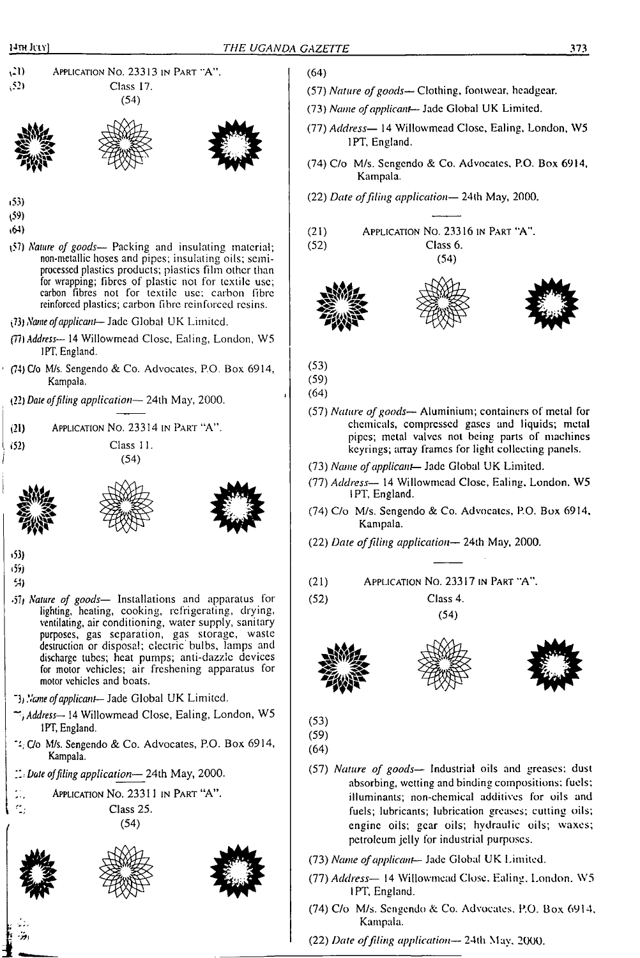(64)

<sup>v</sup>21) Application No. 23313 in Part "A". (52) Class 17. (54)







- <sup>1</sup>53)
- (59)
- ♦64)
- 
- p?) *Nature of goods—* Packing and insulating material; non-metallic hoses and pipes; insulating oils; semiprocessed plastics products; plastics film other than for wrapping; fibres of plastic not for textile use; carbon fibres not for textile use; carbon fibre reinforced plastics; carbon fibre reinforced resins.
- (73) *Name ofapplicant—* Jade Global UK Limited.
- (77)*Address—* 14 Willowmead Close, Ealing, London, W5 1PT, England.
- (74) C/o M/s. Sengendo & Co. Advocates, P.O. Box 6914, Kampala.
- (22) *Dale offiling application—* 24lh May, 2000.
- (21) Application No. 23314 in Part "A".
- 
- . (52) Class 11. *<sup>I</sup>* (54)





- •53)
- زنژه 54)
- •57/ *Nature of goods—* Installations and apparatus for lighting, heating, cooking, refrigerating, drying, ventilating, air conditioning, water supply, sanitary purposes, gas separation, gas storage, waste destruction or disposal; electric bulbs, lamps and discharge tubes; heat pumps; anti-dazzle devices for motor vehicles; air freshening apparatus for motor vehicles and boats.
- *Name ofapplicant—lade* Global UK Limited.
- *Address—* 14 Willowmead Close, Ealing, London, W5 1PT, England.
- $\sim$ C/o M/s. Sengendo & Co. Advocates, P.O. Box 6914, Kampala.
- *T.t Date offiling application—* 24th May, 2000.







- (57) *Nature ofgoods—* Clothing, footwear, headgear.
- (73) *Name ofapplicant—* Jade Global UK Limited.
- (77) *Address—* 14 Willowmead Close, Ealing, London, W5 1PT, England.
- (74) C/o M/s. Scngendo & Co. Advocates. P.O. Box 6914, Kampala.
- (22) *Date offiling application—* 24th May, 2000.
- (21) Application No. 23316 in Part "A". (52) Class 6.

(54)





- (53)
- (59)
- (64)
- (57) *Nature ofgoods—* Aluminium; containers of metal for chemicals, compressed gases and liquids; metal pipes; metal valves not being parts of machines keyrings; array frames for light collecting panels.
- (73) *Name ofapplicant—* Jade Global UK Limited.
- (77) *Address—* 14 Willowmead Close, Ealing. London. W5 <sup>1</sup> PT, England.
- (74) C/o M/s. Sengendo & Co. Advocates, P.O. Box 6914, Kampala.
- (22) *Date offiling application—* 24th May, 2000.

(21) Application No. 23317 in Part "A".

(52) Class 4. (54)







- (53)
- (59)
- (64)
- (57) *Nature of goods—* Industrial oils and greases: dust absorbing, wetting and binding compositions: fuels; illuminants; non-chemical additives for oils and fuels; lubricants; lubrication greases; cutting oils; engine oils; gear oils; hydraulic oils; waxes; petroleum jelly for industrial purposes.
- (73) *Name ofapplicant—* Jade Global UK Limited.
- (77) *Address—* 14 Willowmead Close. Ealing. London. W5 <sup>1</sup> PT, England.
- (74) C/o M/s. Scngendo & Co. Advocates, P.O. Box 6914, Kampala.

(22) *Date offiling application—* 24th May. 2000.